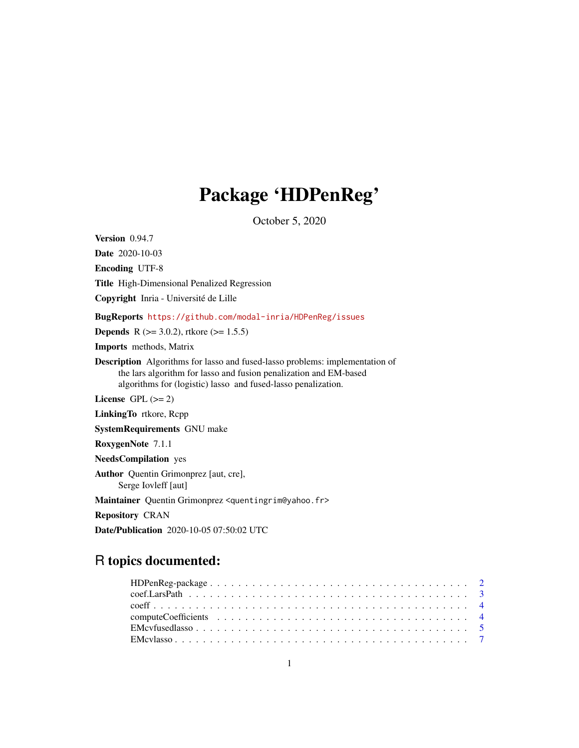# Package 'HDPenReg'

October 5, 2020

Version 0.94.7 Date 2020-10-03 Encoding UTF-8 Title High-Dimensional Penalized Regression Copyright Inria - Université de Lille BugReports <https://github.com/modal-inria/HDPenReg/issues> **Depends** R ( $>= 3.0.2$ ), rtkore ( $>= 1.5.5$ ) Imports methods, Matrix Description Algorithms for lasso and fused-lasso problems: implementation of the lars algorithm for lasso and fusion penalization and EM-based algorithms for (logistic) lasso and fused-lasso penalization. License GPL  $(>= 2)$ LinkingTo rtkore, Rcpp SystemRequirements GNU make RoxygenNote 7.1.1 NeedsCompilation yes Author Quentin Grimonprez [aut, cre], Serge Iovleff [aut] Maintainer Quentin Grimonprez <quentingrim@yahoo.fr> Repository CRAN Date/Publication 2020-10-05 07:50:02 UTC

# R topics documented: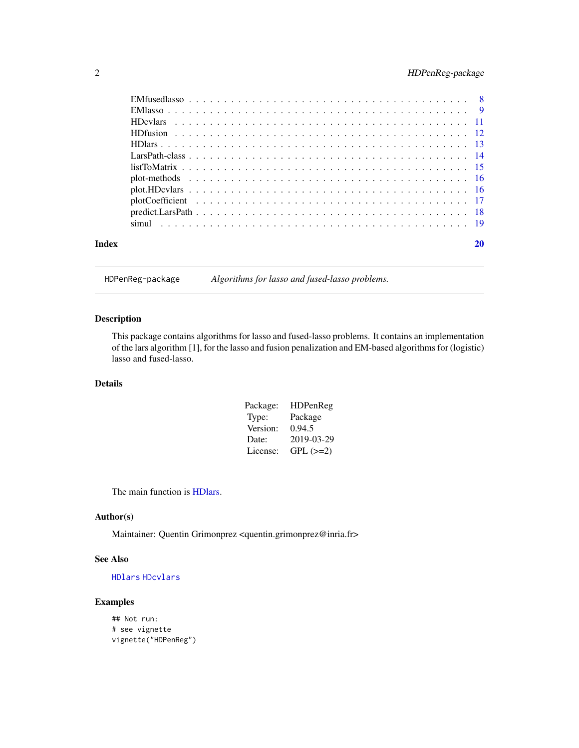# <span id="page-1-0"></span>2 HDPenReg-package

| Index | 20 |
|-------|----|

HDPenReg-package *Algorithms for lasso and fused-lasso problems.*

### Description

This package contains algorithms for lasso and fused-lasso problems. It contains an implementation of the lars algorithm [1], for the lasso and fusion penalization and EM-based algorithms for (logistic) lasso and fused-lasso.

#### Details

| Package: | <b>HDPenReg</b> |
|----------|-----------------|
| Type:    | Package         |
| Version: | 0.94.5          |
| Date:    | 2019-03-29      |
| License: | $GPL (=2)$      |

The main function is [HDlars.](#page-12-1)

#### Author(s)

Maintainer: Quentin Grimonprez <quentin.grimonprez@inria.fr>

#### See Also

[HDlars](#page-12-1) [HDcvlars](#page-10-1)

### Examples

## Not run: # see vignette vignette("HDPenReg")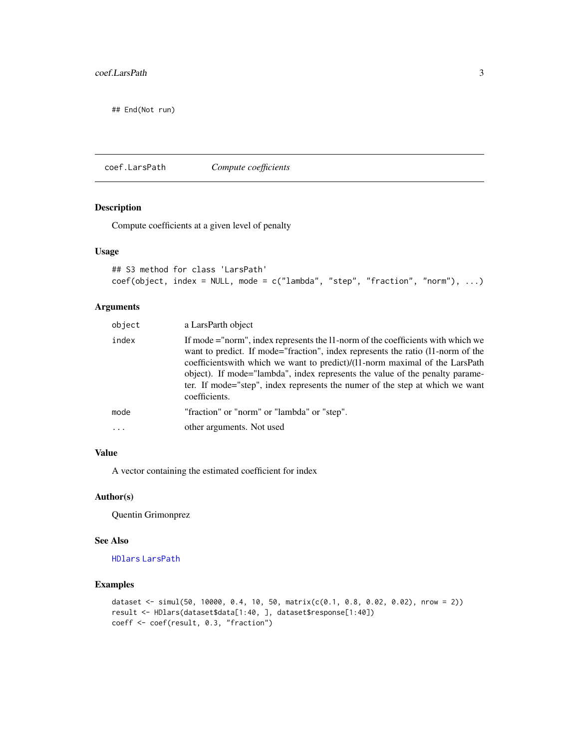<span id="page-2-0"></span>## End(Not run)

coef.LarsPath *Compute coefficients*

# Description

Compute coefficients at a given level of penalty

#### Usage

```
## S3 method for class 'LarsPath'
coef(object, index = NULL, mode = c("lambda", "step", "fraction", "norm"), ...)
```
### Arguments

| object   | a LarsParth object                                                                                                                                                                                                                                                                                                                                                                                                                  |
|----------|-------------------------------------------------------------------------------------------------------------------------------------------------------------------------------------------------------------------------------------------------------------------------------------------------------------------------------------------------------------------------------------------------------------------------------------|
| index    | If mode ="norm", index represents the 11-norm of the coefficients with which we<br>want to predict. If mode="fraction", index represents the ratio (11-norm of the<br>coefficients with which we want to predict)/(11-norm maximal of the LarsPath<br>object). If mode="lambda", index represents the value of the penalty parame-<br>ter. If mode="step", index represents the numer of the step at which we want<br>coefficients. |
| mode     | "fraction" or "norm" or "lambda" or "step".                                                                                                                                                                                                                                                                                                                                                                                         |
| $\cdots$ | other arguments. Not used                                                                                                                                                                                                                                                                                                                                                                                                           |

#### Value

A vector containing the estimated coefficient for index

#### Author(s)

Quentin Grimonprez

#### See Also

[HDlars](#page-12-1) [LarsPath](#page-13-1)

```
dataset <- simul(50, 10000, 0.4, 10, 50, matrix(c(0.1, 0.8, 0.02, 0.02), nrow = 2))
result <- HDlars(dataset$data[1:40, ], dataset$response[1:40])
coeff <- coef(result, 0.3, "fraction")
```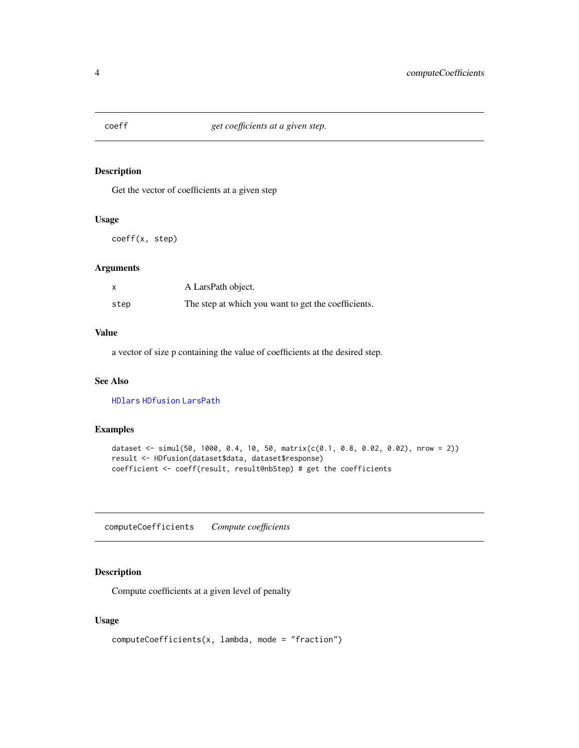<span id="page-3-0"></span>

Get the vector of coefficients at a given step

#### Usage

coeff(x, step)

#### Arguments

|      | A LarsPath object.                                  |
|------|-----------------------------------------------------|
| step | The step at which you want to get the coefficients. |

# Value

a vector of size p containing the value of coefficients at the desired step.

#### See Also

[HDlars](#page-12-1) [HDfusion](#page-11-1) [LarsPath](#page-13-1)

### Examples

```
dataset <- simul(50, 1000, 0.4, 10, 50, matrix(c(0.1, 0.8, 0.02, 0.02), nrow = 2))
result <- HDfusion(dataset$data, dataset$response)
coefficient <- coeff(result, result@nbStep) # get the coefficients
```
computeCoefficients *Compute coefficients*

#### Description

Compute coefficients at a given level of penalty

#### Usage

```
computeCoefficients(x, lambda, mode = "fraction")
```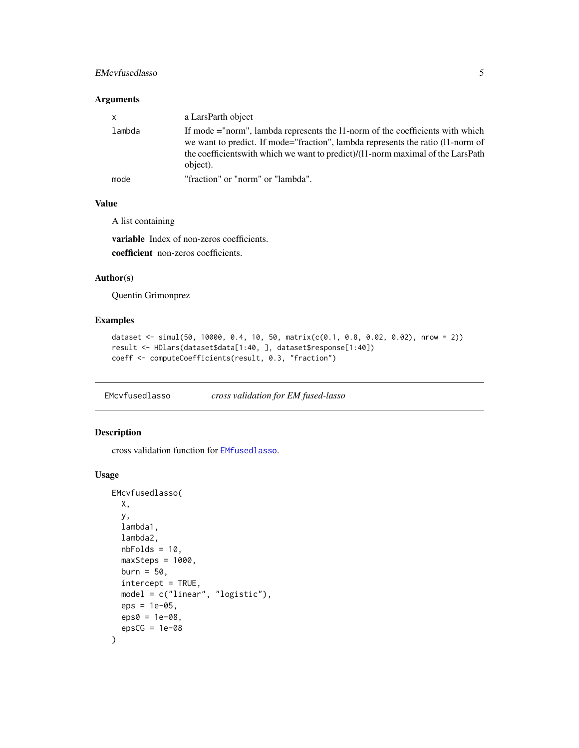### <span id="page-4-0"></span>EMcvfusedlasso 5

#### Arguments

| $\mathsf{X}$ | a LarsParth object                                                                                                                                                                                                                                               |
|--------------|------------------------------------------------------------------------------------------------------------------------------------------------------------------------------------------------------------------------------------------------------------------|
| lambda       | If mode ="norm", lambda represents the 11-norm of the coefficients with which<br>we want to predict. If mode="fraction", lambda represents the ratio (11-norm of<br>the coefficients with which we want to predict)/(11-norm maximal of the LarsPath<br>object). |
| mode         | "fraction" or "norm" or "lambda".                                                                                                                                                                                                                                |

# Value

A list containing

variable Index of non-zeros coefficients. coefficient non-zeros coefficients.

#### Author(s)

Quentin Grimonprez

# Examples

```
dataset <- simul(50, 10000, 0.4, 10, 50, matrix(c(0.1, 0.8, 0.02, 0.02), nrow = 2))
result <- HDlars(dataset$data[1:40, ], dataset$response[1:40])
coeff <- computeCoefficients(result, 0.3, "fraction")
```
<span id="page-4-1"></span>EMcvfusedlasso *cross validation for EM fused-lasso*

#### Description

cross validation function for [EMfusedlasso](#page-7-1).

#### Usage

```
EMcvfusedlasso(
 X,
 y,
 lambda1,
  lambda2,
 nbFolds = 10,
 maxSteps = 1000,burn = 50,
  intercept = TRUE,
 model = c("linear", "logistic"),
 eps = 1e-05,
 eps0 = 1e-08,
  epsCG = 1e-08\mathcal{E}
```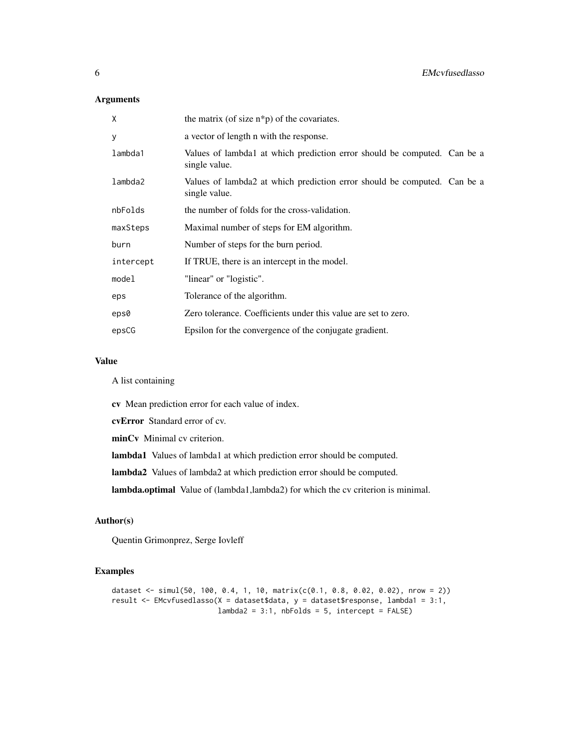## Arguments

| X         | the matrix (of size $n * p$ ) of the covariates.                                          |
|-----------|-------------------------------------------------------------------------------------------|
| y         | a vector of length n with the response.                                                   |
| lambda1   | Values of lambda1 at which prediction error should be computed. Can be a<br>single value. |
| lambda2   | Values of lambda2 at which prediction error should be computed. Can be a<br>single value. |
| nbFolds   | the number of folds for the cross-validation.                                             |
| maxSteps  | Maximal number of steps for EM algorithm.                                                 |
| burn      | Number of steps for the burn period.                                                      |
| intercept | If TRUE, there is an intercept in the model.                                              |
| model     | "linear" or "logistic".                                                                   |
| eps       | Tolerance of the algorithm.                                                               |
| eps0      | Zero tolerance. Coefficients under this value are set to zero.                            |
| epsCG     | Epsilon for the convergence of the conjugate gradient.                                    |

#### Value

A list containing

cv Mean prediction error for each value of index.

cvError Standard error of cv.

minCv Minimal cv criterion.

lambda1 Values of lambda1 at which prediction error should be computed.

lambda2 Values of lambda2 at which prediction error should be computed.

lambda.optimal Value of (lambda1,lambda2) for which the cv criterion is minimal.

#### Author(s)

Quentin Grimonprez, Serge Iovleff

```
dataset <- simul(50, 100, 0.4, 1, 10, matrix(c(0.1, 0.8, 0.02, 0.02), nrow = 2))
result <- EMcvfusedlasso(X = dataset$data, y = dataset$response, lambda1 = 3:1,
                        lambda2 = 3:1, nbFolds = 5, intercept = FALSE)
```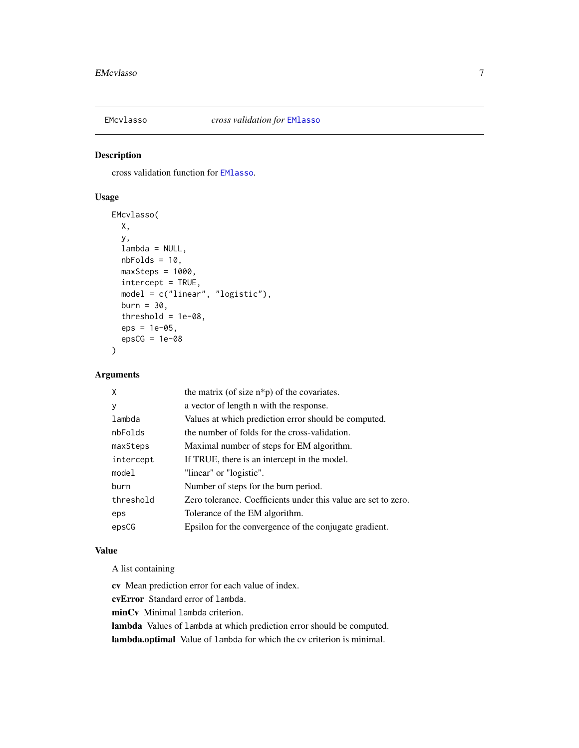<span id="page-6-1"></span><span id="page-6-0"></span>

cross validation function for [EMlasso](#page-8-1).

### Usage

```
EMcvlasso(
 X,
 y,
 lambda = NULL,nbFolds = 10,
 maxSteps = 1000,intercept = TRUE,
 model = c("linear", "logistic"),
 burn = 30,
  threshold = 1e-08,
  eps = 1e-05,
  epsCG = 1e-08)
```
# Arguments

| χ         | the matrix (of size $n * p$ ) of the covariates.               |
|-----------|----------------------------------------------------------------|
| у         | a vector of length n with the response.                        |
| lambda    | Values at which prediction error should be computed.           |
| nbFolds   | the number of folds for the cross-validation.                  |
| maxSteps  | Maximal number of steps for EM algorithm.                      |
| intercept | If TRUE, there is an intercept in the model.                   |
| model     | "linear" or "logistic".                                        |
| burn      | Number of steps for the burn period.                           |
| threshold | Zero tolerance. Coefficients under this value are set to zero. |
| eps       | Tolerance of the EM algorithm.                                 |
| epsCG     | Epsilon for the convergence of the conjugate gradient.         |
|           |                                                                |

#### Value

A list containing

cv Mean prediction error for each value of index.

cvError Standard error of lambda.

minCv Minimal lambda criterion.

lambda Values of lambda at which prediction error should be computed.

lambda.optimal Value of lambda for which the cv criterion is minimal.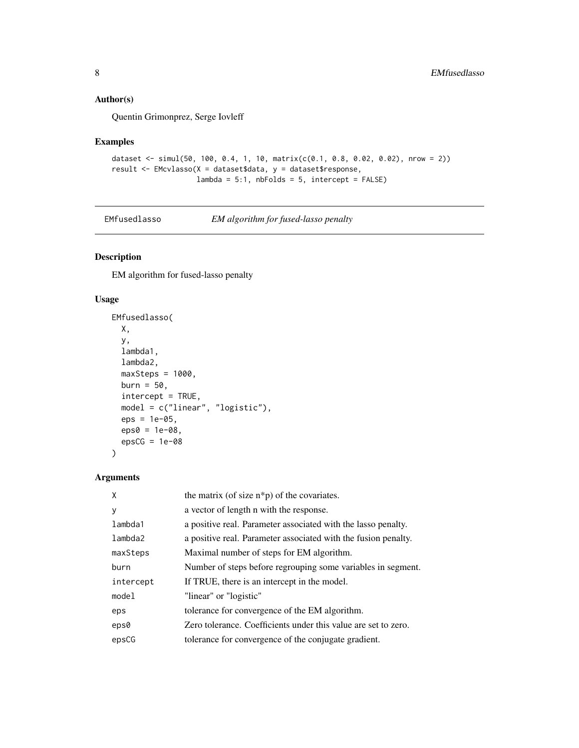## <span id="page-7-0"></span>Author(s)

Quentin Grimonprez, Serge Iovleff

#### Examples

```
dataset <- simul(50, 100, 0.4, 1, 10, matrix(c(0.1, 0.8, 0.02, 0.02), nrow = 2))
result <- EMcvlasso(X = dataset$data, y = dataset$response,
                   lambda = 5:1, nbFolds = 5, intercept = FALSE
```
<span id="page-7-1"></span>

| EMfusedlasso | EM algorithm for fused-lasso penalty |
|--------------|--------------------------------------|
|--------------|--------------------------------------|

#### Description

EM algorithm for fused-lasso penalty

#### Usage

```
EMfusedlasso(
 X,
  y,
  lambda1,
  lambda2,
 maxSteps = 1000,burn = 50,
  intercept = TRUE,
 model = c("linear", "logistic"),
 eps = 1e-05,
 eps0 = 1e-08,
  epsCG = 1e-08)
```
# Arguments

| $\mathsf{x}$     | the matrix (of size $n * p$ ) of the covariates.               |
|------------------|----------------------------------------------------------------|
| y                | a vector of length n with the response.                        |
| lambda1          | a positive real. Parameter associated with the lasso penalty.  |
| lambda2          | a positive real. Parameter associated with the fusion penalty. |
| maxSteps         | Maximal number of steps for EM algorithm.                      |
| burn             | Number of steps before regrouping some variables in segment.   |
| intercept        | If TRUE, there is an intercept in the model.                   |
| model            | "linear" or "logistic"                                         |
| eps              | tolerance for convergence of the EM algorithm.                 |
| eps <sub>0</sub> | Zero tolerance. Coefficients under this value are set to zero. |
| epsCG            | tolerance for convergence of the conjugate gradient.           |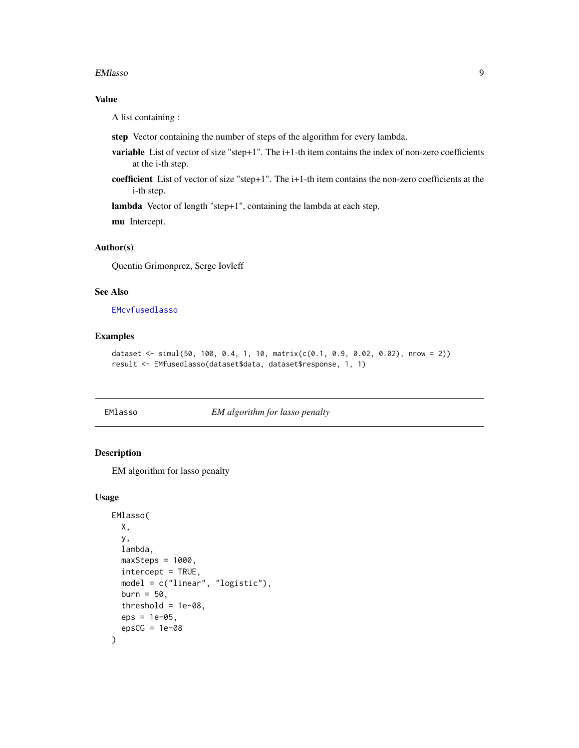#### <span id="page-8-0"></span>EMlasso 9

#### Value

A list containing :

- step Vector containing the number of steps of the algorithm for every lambda.
- variable List of vector of size "step+1". The i+1-th item contains the index of non-zero coefficients at the i-th step.
- coefficient List of vector of size "step+1". The i+1-th item contains the non-zero coefficients at the i-th step.

lambda Vector of length "step+1", containing the lambda at each step.

mu Intercept.

# Author(s)

Quentin Grimonprez, Serge Iovleff

#### See Also

#### [EMcvfusedlasso](#page-4-1)

#### Examples

```
dataset <- simul(50, 100, 0.4, 1, 10, matrix(c(0.1, 0.9, 0.02, 0.02), nrow = 2))
result <- EMfusedlasso(dataset$data, dataset$response, 1, 1)
```
<span id="page-8-1"></span>EMlasso *EM algorithm for lasso penalty*

#### Description

EM algorithm for lasso penalty

#### Usage

```
EMlasso(
 X,
 y,
  lambda,
 maxSteps = 1000,
  intercept = TRUE,
 model = c("linear", "logistic"),
 burn = 50,
  threshold = 1e-08,
  eps = 1e-05,
  epsCG = 1e-08)
```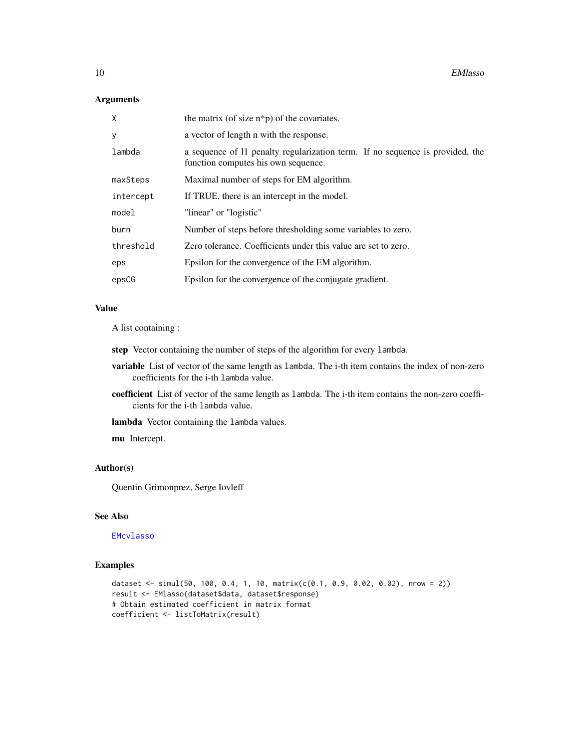# <span id="page-9-0"></span>Arguments

| X         | the matrix (of size $n * p$ ) of the covariates.                                                                     |
|-----------|----------------------------------------------------------------------------------------------------------------------|
| y         | a vector of length n with the response.                                                                              |
| lambda    | a sequence of 11 penalty regularization term. If no sequence is provided, the<br>function computes his own sequence. |
| maxSteps  | Maximal number of steps for EM algorithm.                                                                            |
| intercept | If TRUE, there is an intercept in the model.                                                                         |
| model     | "linear" or "logistic"                                                                                               |
| burn      | Number of steps before thresholding some variables to zero.                                                          |
| threshold | Zero tolerance. Coefficients under this value are set to zero.                                                       |
| eps       | Epsilon for the convergence of the EM algorithm.                                                                     |
| epsCG     | Epsilon for the convergence of the conjugate gradient.                                                               |

#### Value

A list containing :

step Vector containing the number of steps of the algorithm for every lambda.

- variable List of vector of the same length as lambda. The i-th item contains the index of non-zero coefficients for the i-th lambda value.
- coefficient List of vector of the same length as lambda. The i-th item contains the non-zero coefficients for the i-th lambda value.

lambda Vector containing the lambda values.

mu Intercept.

#### Author(s)

Quentin Grimonprez, Serge Iovleff

#### See Also

[EMcvlasso](#page-6-1)

```
dataset <- simul(50, 100, 0.4, 1, 10, matrix(c(0.1, 0.9, 0.02, 0.02), nrow = 2))
result <- EMlasso(dataset$data, dataset$response)
# Obtain estimated coefficient in matrix format
coefficient <- listToMatrix(result)
```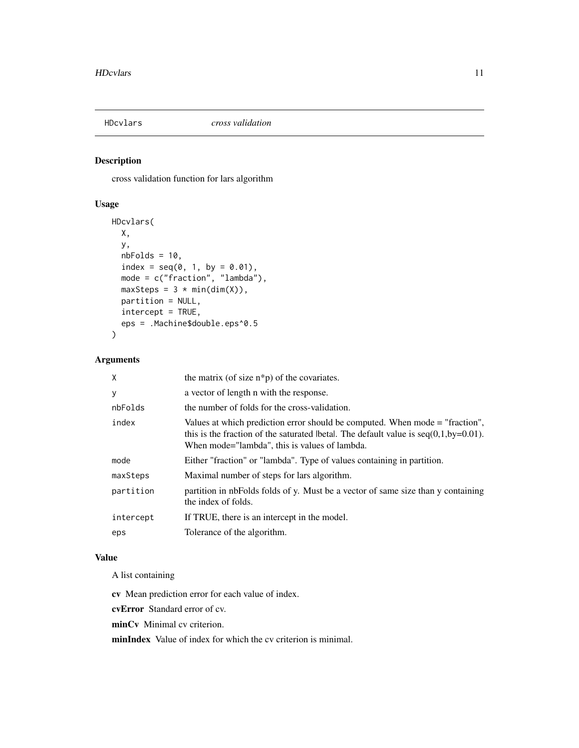<span id="page-10-1"></span><span id="page-10-0"></span>

cross validation function for lars algorithm

#### Usage

```
HDcvlars(
 X,
 y,
 nbFolds = 10,index = seq(0, 1, by = 0.01),mode = c("fraction", "lambda"),
 maxSteps = 3 * min(dim(X)),partition = NULL,
 intercept = TRUE,
 eps = .Machine$double.eps^0.5
)
```
#### Arguments

| X         | the matrix (of size $n * p$ ) of the covariates.                                                                                                                                                                         |
|-----------|--------------------------------------------------------------------------------------------------------------------------------------------------------------------------------------------------------------------------|
| у         | a vector of length n with the response.                                                                                                                                                                                  |
| nbFolds   | the number of folds for the cross-validation.                                                                                                                                                                            |
| index     | Values at which prediction error should be computed. When mode = "fraction",<br>this is the fraction of the saturated lbetal. The default value is $seq(0,1,by=0.01)$ .<br>When mode="lambda", this is values of lambda. |
| mode      | Either "fraction" or "lambda". Type of values containing in partition.                                                                                                                                                   |
| maxSteps  | Maximal number of steps for lars algorithm.                                                                                                                                                                              |
| partition | partition in nbFolds folds of y. Must be a vector of same size than y containing<br>the index of folds.                                                                                                                  |
| intercept | If TRUE, there is an intercept in the model.                                                                                                                                                                             |
| eps       | Tolerance of the algorithm.                                                                                                                                                                                              |

# Value

A list containing

cv Mean prediction error for each value of index.

cvError Standard error of cv.

minCv Minimal cv criterion.

minIndex Value of index for which the cv criterion is minimal.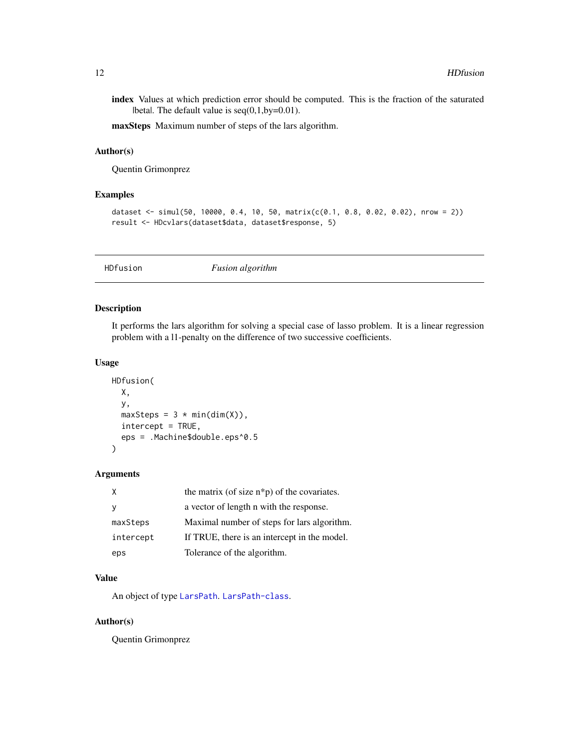<span id="page-11-0"></span>index Values at which prediction error should be computed. This is the fraction of the saturated  $\beta$ |beta|. The default value is seq $(0,1,by=0.01)$ .

maxSteps Maximum number of steps of the lars algorithm.

#### Author(s)

Quentin Grimonprez

#### Examples

```
dataset <- simul(50, 10000, 0.4, 10, 50, matrix(c(0.1, 0.8, 0.02, 0.02), nrow = 2))
result <- HDcvlars(dataset$data, dataset$response, 5)
```
<span id="page-11-1"></span>

|  | <i>Fusion algorithm</i> | <b>HDfusion</b> |
|--|-------------------------|-----------------|
|--|-------------------------|-----------------|

#### Description

It performs the lars algorithm for solving a special case of lasso problem. It is a linear regression problem with a l1-penalty on the difference of two successive coefficients.

#### Usage

```
HDfusion(
 X,
 y,
 maxSteps = 3 * min(dim(X)),intercept = TRUE,
  eps = .Machine$double.eps^0.5
)
```
#### Arguments

|           | the matrix (of size $n * p$ ) of the covariates. |
|-----------|--------------------------------------------------|
|           | a vector of length n with the response.          |
| maxSteps  | Maximal number of steps for lars algorithm.      |
| intercept | If TRUE, there is an intercept in the model.     |
| eps       | Tolerance of the algorithm.                      |

#### Value

An object of type [LarsPath](#page-13-1). [LarsPath-class](#page-13-2).

#### Author(s)

Quentin Grimonprez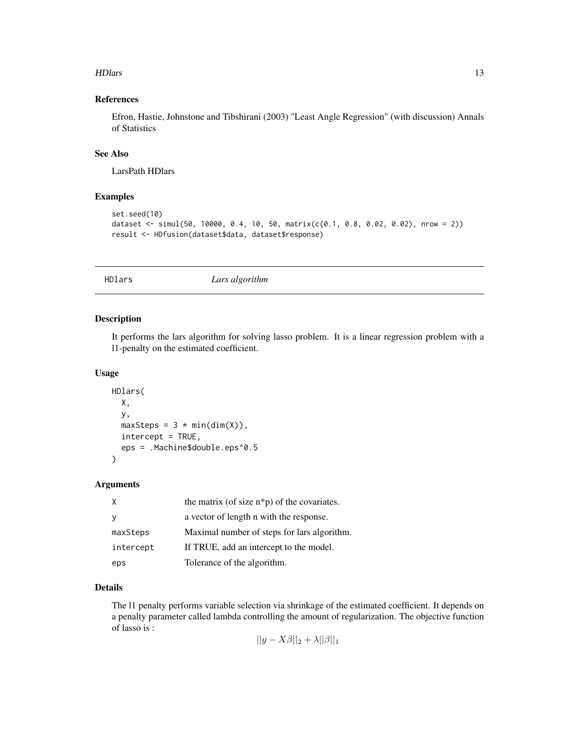#### <span id="page-12-0"></span>HDlars and the state of the state of the state of the state of the state of the state of the state of the state of the state of the state of the state of the state of the state of the state of the state of the state of the

## References

Efron, Hastie, Johnstone and Tibshirani (2003) "Least Angle Regression" (with discussion) Annals of Statistics

### See Also

LarsPath HDlars

# Examples

```
set.seed(10)
dataset <- simul(50, 10000, 0.4, 10, 50, matrix(c(0.1, 0.8, 0.02, 0.02), nrow = 2))
result <- HDfusion(dataset$data, dataset$response)
```
<span id="page-12-1"></span>HDlars *Lars algorithm*

#### Description

It performs the lars algorithm for solving lasso problem. It is a linear regression problem with a l1-penalty on the estimated coefficient.

#### Usage

```
HDlars(
  X,
 y,
 maxSteps = 3 * min(dim(X)),intercept = TRUE,
  eps = .Machine$double.eps^0.5
)
```
#### Arguments

| χ         | the matrix (of size $n * p$ ) of the covariates. |
|-----------|--------------------------------------------------|
|           | a vector of length n with the response.          |
| maxSteps  | Maximal number of steps for lars algorithm.      |
| intercept | If TRUE, add an intercept to the model.          |
| eps       | Tolerance of the algorithm.                      |

# Details

The l1 penalty performs variable selection via shrinkage of the estimated coefficient. It depends on a penalty parameter called lambda controlling the amount of regularization. The objective function of lasso is :

$$
||y - X\beta||_2 + \lambda ||\beta||_1
$$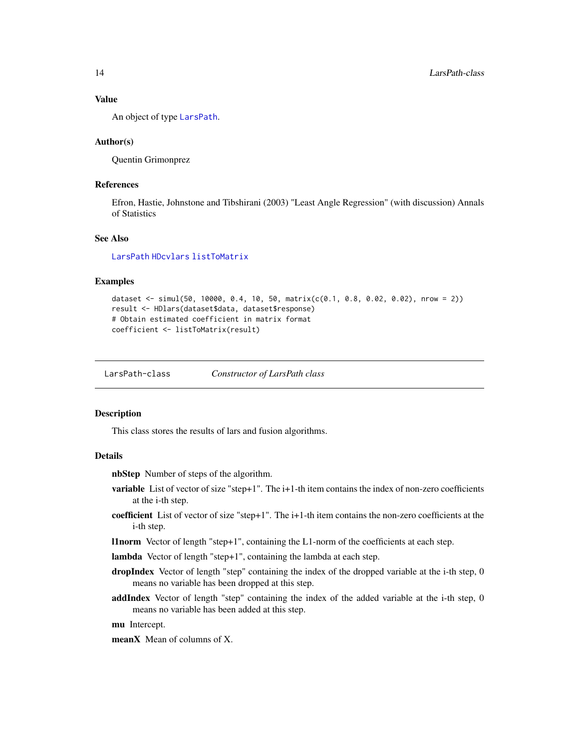#### <span id="page-13-0"></span>Value

An object of type [LarsPath](#page-13-1).

#### Author(s)

Quentin Grimonprez

#### References

Efron, Hastie, Johnstone and Tibshirani (2003) "Least Angle Regression" (with discussion) Annals of Statistics

#### See Also

[LarsPath](#page-13-1) [HDcvlars](#page-10-1) [listToMatrix](#page-14-1)

#### Examples

```
dataset <- simul(50, 10000, 0.4, 10, 50, matrix(c(0.1, 0.8, 0.02, 0.02), nrow = 2))
result <- HDlars(dataset$data, dataset$response)
# Obtain estimated coefficient in matrix format
coefficient <- listToMatrix(result)
```
<span id="page-13-2"></span>LarsPath-class *Constructor of LarsPath class*

#### <span id="page-13-1"></span>**Description**

This class stores the results of lars and fusion algorithms.

#### Details

nbStep Number of steps of the algorithm.

- variable List of vector of size "step+1". The i+1-th item contains the index of non-zero coefficients at the i-th step.
- coefficient List of vector of size "step+1". The i+1-th item contains the non-zero coefficients at the i-th step.
- l1norm Vector of length "step+1", containing the L1-norm of the coefficients at each step.

lambda Vector of length "step+1", containing the lambda at each step.

- dropIndex Vector of length "step" containing the index of the dropped variable at the i-th step, 0 means no variable has been dropped at this step.
- addIndex Vector of length "step" containing the index of the added variable at the i-th step, 0 means no variable has been added at this step.

mu Intercept.

meanX Mean of columns of X.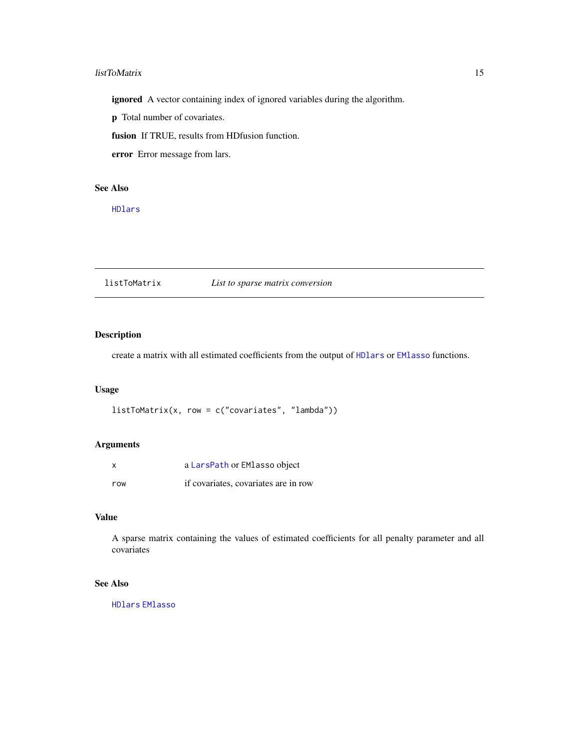#### <span id="page-14-0"></span>listToMatrix 15

ignored A vector containing index of ignored variables during the algorithm.

p Total number of covariates.

fusion If TRUE, results from HDfusion function.

error Error message from lars.

# See Also

[HDlars](#page-12-1)

<span id="page-14-1"></span>listToMatrix *List to sparse matrix conversion*

### Description

create a matrix with all estimated coefficients from the output of [HDlars](#page-12-1) or [EMlasso](#page-8-1) functions.

### Usage

listToMatrix(x, row = c("covariates", "lambda"))

# Arguments

| x   | a LarsPath or EMlasso object         |
|-----|--------------------------------------|
| row | if covariates, covariates are in row |

#### Value

A sparse matrix containing the values of estimated coefficients for all penalty parameter and all covariates

# See Also

[HDlars](#page-12-1) [EMlasso](#page-8-1)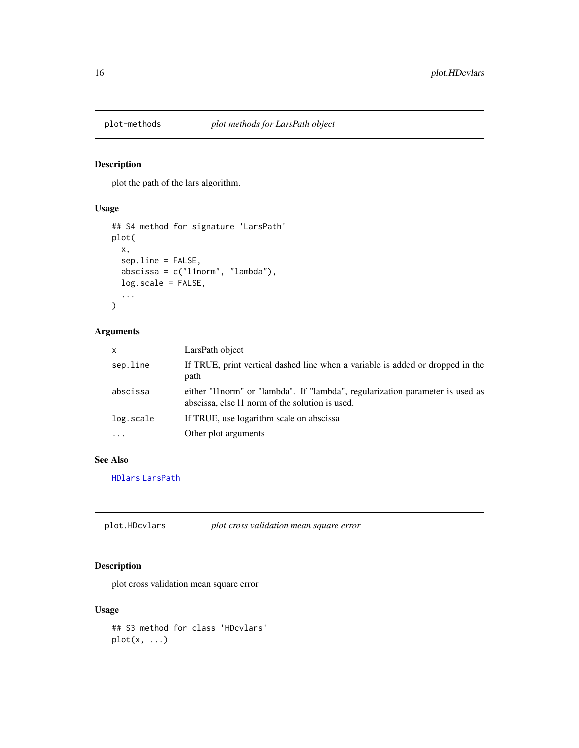<span id="page-15-0"></span>

plot the path of the lars algorithm.

# Usage

```
## S4 method for signature 'LarsPath'
plot(
  x,
  sep.line = FALSE,
  abscissa = c("l1norm", "lambda"),
 log.scale = FALSE,
  ...
)
```
#### Arguments

| $\mathsf{x}$ | LarsPath object                                                                                                                   |
|--------------|-----------------------------------------------------------------------------------------------------------------------------------|
| sep.line     | If TRUE, print vertical dashed line when a variable is added or dropped in the<br>path                                            |
| abscissa     | either "11 norm" or "lambda". If "lambda", regularization parameter is used as<br>abscissa, else 11 norm of the solution is used. |
| log.scale    | If TRUE, use logarithm scale on abscissa                                                                                          |
| $\ddotsc$    | Other plot arguments                                                                                                              |
|              |                                                                                                                                   |

#### See Also

[HDlars](#page-12-1) [LarsPath](#page-13-1)

plot.HDcvlars *plot cross validation mean square error*

# Description

plot cross validation mean square error

#### Usage

## S3 method for class 'HDcvlars'  $plot(x, \ldots)$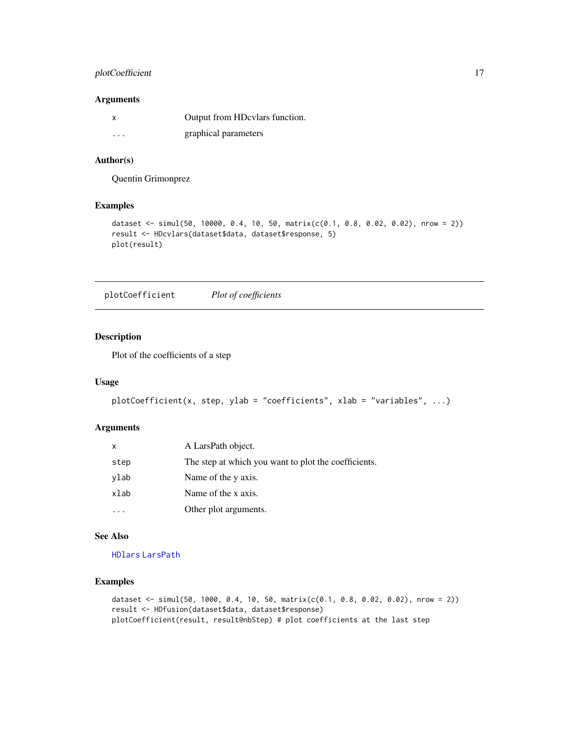### <span id="page-16-0"></span>plotCoefficient 17

#### Arguments

|          | Output from HDcvlars function. |
|----------|--------------------------------|
| $\cdots$ | graphical parameters           |

# Author(s)

Quentin Grimonprez

### Examples

```
dataset <- simul(50, 10000, 0.4, 10, 50, matrix(c(0.1, 0.8, 0.02, 0.02), nrow = 2))
result <- HDcvlars(dataset$data, dataset$response, 5)
plot(result)
```
plotCoefficient *Plot of coefficients*

### Description

Plot of the coefficients of a step

#### Usage

```
plotCoefficient(x, step, ylab = "coefficients", xlab = "variables", ...)
```
#### Arguments

| x    | A LarsPath object.                                   |
|------|------------------------------------------------------|
| step | The step at which you want to plot the coefficients. |
| ylab | Name of the y axis.                                  |
| xlab | Name of the x axis.                                  |
|      | Other plot arguments.                                |

#### See Also

[HDlars](#page-12-1) [LarsPath](#page-13-1)

```
dataset <- simul(50, 1000, 0.4, 10, 50, matrix(c(0.1, 0.8, 0.02, 0.02), nrow = 2))
result <- HDfusion(dataset$data, dataset$response)
plotCoefficient(result, result@nbStep) # plot coefficients at the last step
```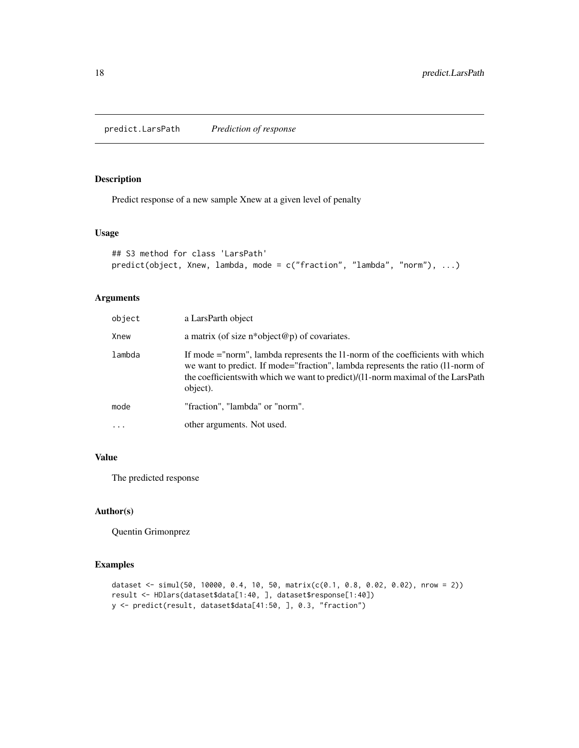<span id="page-17-0"></span>predict.LarsPath *Prediction of response*

### Description

Predict response of a new sample Xnew at a given level of penalty

#### Usage

```
## S3 method for class 'LarsPath'
predict(object, Xnew, lambda, mode = c("fraction", "lambda", "norm"), ...)
```
#### Arguments

| object | a LarsParth object                                                                                                                                                                                                                                               |
|--------|------------------------------------------------------------------------------------------------------------------------------------------------------------------------------------------------------------------------------------------------------------------|
| Xnew   | a matrix (of size $n^*$ object@p) of covariates.                                                                                                                                                                                                                 |
| lambda | If mode ="norm", lambda represents the 11-norm of the coefficients with which<br>we want to predict. If mode="fraction", lambda represents the ratio (11-norm of<br>the coefficients with which we want to predict)/(11-norm maximal of the LarsPath<br>object). |
| mode   | "fraction", "lambda" or "norm".                                                                                                                                                                                                                                  |
| .      | other arguments. Not used.                                                                                                                                                                                                                                       |

# Value

The predicted response

#### Author(s)

Quentin Grimonprez

```
dataset <- simul(50, 10000, 0.4, 10, 50, matrix(c(0.1, 0.8, 0.02, 0.02), nrow = 2))
result <- HDlars(dataset$data[1:40, ], dataset$response[1:40])
y <- predict(result, dataset$data[41:50, ], 0.3, "fraction")
```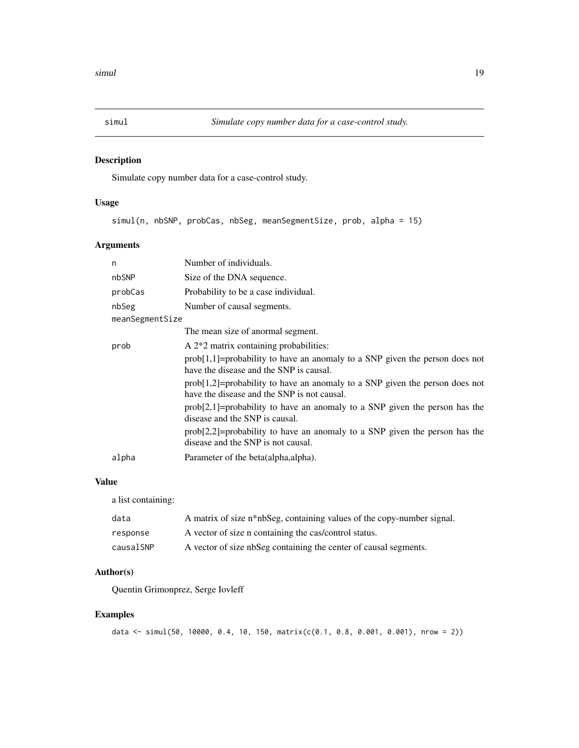<span id="page-18-0"></span>

Simulate copy number data for a case-control study.

# Usage

simul(n, nbSNP, probCas, nbSeg, meanSegmentSize, prob, alpha = 15)

# Arguments

| n               | Number of individuals.                                                                                                        |
|-----------------|-------------------------------------------------------------------------------------------------------------------------------|
| nbSNP           | Size of the DNA sequence.                                                                                                     |
| probCas         | Probability to be a case individual.                                                                                          |
| nbSeg           | Number of causal segments.                                                                                                    |
| meanSegmentSize |                                                                                                                               |
|                 | The mean size of anormal segment.                                                                                             |
| prob            | A 2 <sup>*</sup> 2 matrix containing probabilities:                                                                           |
|                 | $prob[1,1]$ =probability to have an anomaly to a SNP given the person does not<br>have the disease and the SNP is causal.     |
|                 | $prob[1,2]$ =probability to have an anomaly to a SNP given the person does not<br>have the disease and the SNP is not causal. |
|                 | $prob[2,1]$ =probability to have an anomaly to a SNP given the person has the<br>disease and the SNP is causal.               |
|                 | $prob[2,2]$ =probability to have an anomaly to a SNP given the person has the<br>disease and the SNP is not causal.           |
| alpha           | Parameter of the beta(alpha, alpha).                                                                                          |

#### Value

a list containing:

| data      | A matrix of size n*nbSeg, containing values of the copy-number signal. |
|-----------|------------------------------------------------------------------------|
| response  | A vector of size n containing the cas/control status.                  |
| causalSNP | A vector of size nbSeg containing the center of causal segments.       |

# Author(s)

Quentin Grimonprez, Serge Iovleff

```
data <- simul(50, 10000, 0.4, 10, 150, matrix(c(0.1, 0.8, 0.001, 0.001), nrow = 2))
```